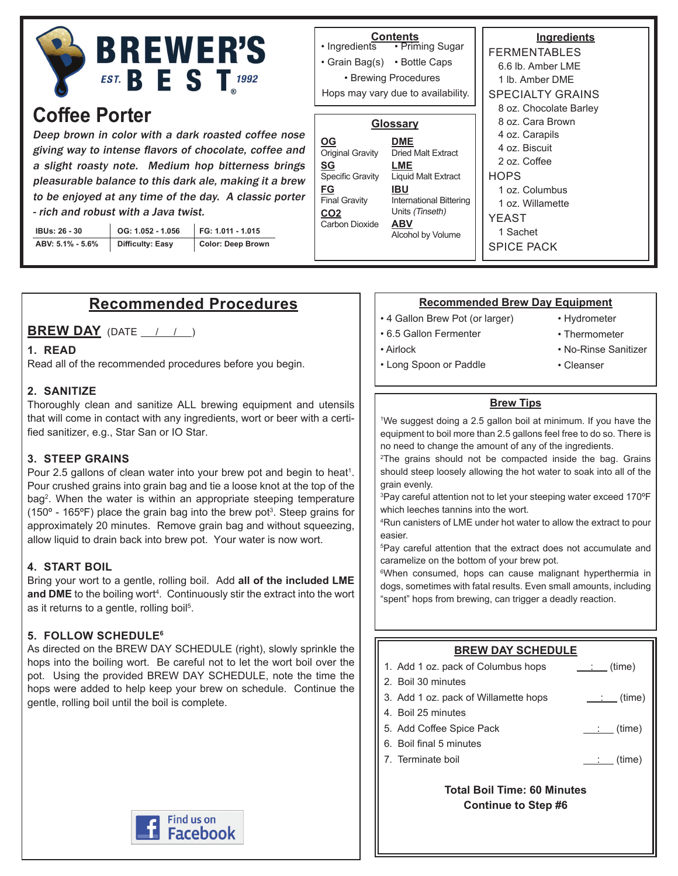

# **Coffee Porter**

Deep brown in color with a dark roasted coffee nose giving way to intense flavors of chocolate, coffee and a slight roasty note. Medium hop bitterness brings pleasurable balance to this dark ale, making it a brew to be enjoyed at any time of the day. A classic porter - rich and robust with a Java twist.

| IBUs: 26 - 30    | OG: 1.052 - 1.056       | FG: 1.011 - 1.015 |
|------------------|-------------------------|-------------------|
| ABV: 5.1% - 5.6% | <b>Difficulty: Easy</b> | Color: Deep Brown |

## **Recommended Procedures**

**BREW DAY** (DATE / / )

#### **1. READ**

Read all of the recommended procedures before you begin.

#### **2. SANITIZE**

Thoroughly clean and sanitize ALL brewing equipment and utensils that will come in contact with any ingredients, wort or beer with a certified sanitizer, e.g., Star San or IO Star.

#### **3. STEEP GRAINS**

Pour 2.5 gallons of clean water into your brew pot and begin to heat<sup>1</sup>. Pour crushed grains into grain bag and tie a loose knot at the top of the bag<sup>2</sup>. When the water is within an appropriate steeping temperature (150° - 165°F) place the grain bag into the brew pot<sup>3</sup>. Steep grains for approximately 20 minutes. Remove grain bag and without squeezing, allow liquid to drain back into brew pot. Your water is now wort.

#### **4. START BOIL**

Bring your wort to a gentle, rolling boil. Add **all of the included LME**  and DME to the boiling wort<sup>4</sup>. Continuously stir the extract into the wort as it returns to a gentle, rolling boil<sup>5</sup>.

#### **5. FOLLOW SCHEDULE6**

As directed on the BREW DAY SCHEDULE (right), slowly sprinkle the hops into the boiling wort. Be careful not to let the wort boil over the pot. Using the provided BREW DAY SCHEDULE, note the time the hops were added to help keep your brew on schedule. Continue the gentle, rolling boil until the boil is complete.



#### **Ingredients** FERMENTABLES 6.6 lb. Amber LME 1 lb. Amber DME SPECIALTY GRAINS 8 oz. Chocolate Barley 8 oz. Cara Brown 4 oz. Carapils 4 oz. Biscuit 2 oz. Coffee **HOPS** 1 oz. Columbus 1 oz. Willamette YEAST 1 Sachet SPICE PACK **Contents** • Priming Sugar • Ingredients • Grain Bag(s) • Bottle Caps • Brewing Procedures **Glossary DME** Dried Malt Extract **LME** Liquid Malt Extract **IBU** International Bittering Units (Tinseth) **ABV** Alcohol by Volume **OG** Original Gravity **SG** Specific Gravity **FG** Final Gravity **CO2** Carbon Dioxide Hops may vary due to availability.

#### **Recommended Brew Day Equipment**

- 4 Gallon Brew Pot (or larger)
- 6.5 Gallon Fermenter

• Long Spoon or Paddle

• Airlock

- Hydrometer
- Thermometer
- No-Rinse Sanitizer
- Cleanser

#### **Brew Tips**

1 We suggest doing a 2.5 gallon boil at minimum. If you have the equipment to boil more than 2.5 gallons feel free to do so. There is no need to change the amount of any of the ingredients.

2 The grains should not be compacted inside the bag. Grains should steep loosely allowing the hot water to soak into all of the grain evenly.

3 Pay careful attention not to let your steeping water exceed 170ºF which leeches tannins into the wort.

4 Run canisters of LME under hot water to allow the extract to pour easier.

5 Pay careful attention that the extract does not accumulate and caramelize on the bottom of your brew pot.

6 When consumed, hops can cause malignant hyperthermia in dogs, sometimes with fatal results. Even small amounts, including "spent" hops from brewing, can trigger a deadly reaction.

#### **BREW DAY SCHEDULE**

|                                    | 1. Add 1 oz. pack of Columbus hops   | (time)<br><b>Contractor</b> |  |  |
|------------------------------------|--------------------------------------|-----------------------------|--|--|
|                                    | 2. Boil 30 minutes                   |                             |  |  |
|                                    | 3. Add 1 oz. pack of Willamette hops | $\qquad \qquad$ : (time)    |  |  |
|                                    | 4. Boil 25 minutes                   |                             |  |  |
|                                    | 5. Add Coffee Spice Pack             | <u>___: (time)</u>          |  |  |
|                                    | 6. Boil final 5 minutes              |                             |  |  |
|                                    | 7. Terminate boil                    | $:$ (time)                  |  |  |
|                                    |                                      |                             |  |  |
| <b>Total Boil Time: 60 Minutes</b> |                                      |                             |  |  |

**Continue to Step #6**